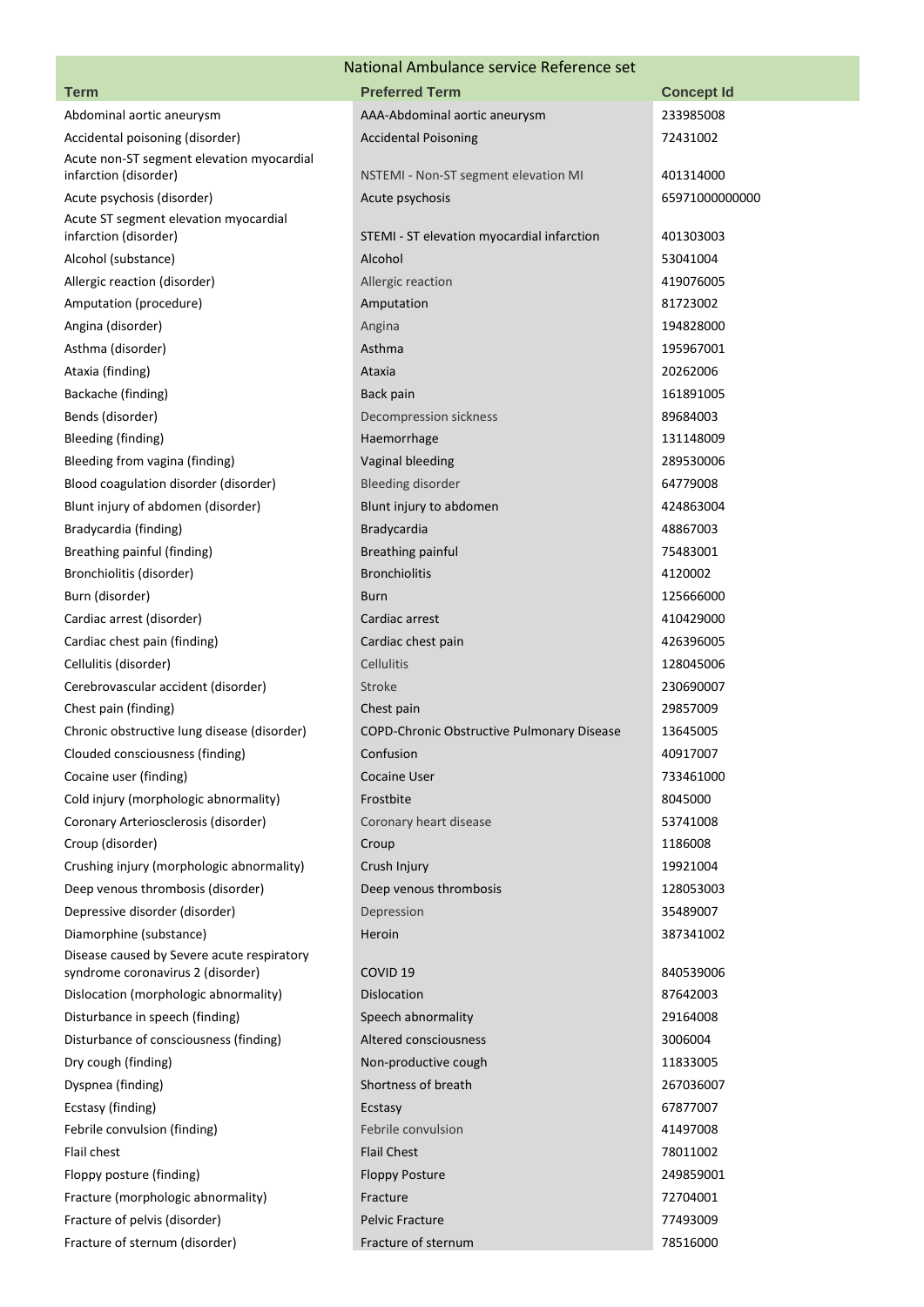## National Ambulance service Reference set

| <b>Term</b>                                                                  | National Allibulatice Service Reference Set<br><b>Preferred Term</b> |                   |
|------------------------------------------------------------------------------|----------------------------------------------------------------------|-------------------|
|                                                                              |                                                                      | <b>Concept Id</b> |
| Abdominal aortic aneurysm                                                    | AAA-Abdominal aortic aneurysm                                        | 233985008         |
| Accidental poisoning (disorder)<br>Acute non-ST segment elevation myocardial | <b>Accidental Poisoning</b>                                          | 72431002          |
| infarction (disorder)                                                        | NSTEMI - Non-ST segment elevation MI                                 | 401314000         |
| Acute psychosis (disorder)                                                   | Acute psychosis                                                      | 65971000000000    |
| Acute ST segment elevation myocardial                                        |                                                                      |                   |
| infarction (disorder)                                                        | STEMI - ST elevation myocardial infarction                           | 401303003         |
| Alcohol (substance)                                                          | Alcohol                                                              | 53041004          |
| Allergic reaction (disorder)                                                 | Allergic reaction                                                    | 419076005         |
| Amputation (procedure)                                                       | Amputation                                                           | 81723002          |
| Angina (disorder)                                                            | Angina                                                               | 194828000         |
| Asthma (disorder)                                                            | Asthma                                                               | 195967001         |
| Ataxia (finding)                                                             | Ataxia                                                               | 20262006          |
| Backache (finding)                                                           | Back pain                                                            | 161891005         |
| Bends (disorder)                                                             | Decompression sickness                                               | 89684003          |
| Bleeding (finding)                                                           | Haemorrhage                                                          | 131148009         |
| Bleeding from vagina (finding)                                               | Vaginal bleeding                                                     | 289530006         |
| Blood coagulation disorder (disorder)                                        | <b>Bleeding disorder</b>                                             | 64779008          |
| Blunt injury of abdomen (disorder)                                           | Blunt injury to abdomen                                              | 424863004         |
| Bradycardia (finding)                                                        | Bradycardia                                                          | 48867003          |
| Breathing painful (finding)                                                  | <b>Breathing painful</b>                                             | 75483001          |
| Bronchiolitis (disorder)                                                     | <b>Bronchiolitis</b>                                                 | 4120002           |
| Burn (disorder)                                                              | <b>Burn</b>                                                          | 125666000         |
| Cardiac arrest (disorder)                                                    | Cardiac arrest                                                       | 410429000         |
| Cardiac chest pain (finding)                                                 | Cardiac chest pain                                                   | 426396005         |
| Cellulitis (disorder)                                                        | Cellulitis                                                           | 128045006         |
| Cerebrovascular accident (disorder)                                          | Stroke                                                               | 230690007         |
| Chest pain (finding)                                                         | Chest pain                                                           | 29857009          |
| Chronic obstructive lung disease (disorder)                                  | COPD-Chronic Obstructive Pulmonary Disease                           | 13645005          |
| Clouded consciousness (finding)                                              | Confusion                                                            | 40917007          |
| Cocaine user (finding)                                                       | <b>Cocaine User</b>                                                  | 733461000         |
| Cold injury (morphologic abnormality)                                        | Frostbite                                                            | 8045000           |
| Coronary Arteriosclerosis (disorder)                                         | Coronary heart disease                                               | 53741008          |
| Croup (disorder)                                                             | Croup                                                                | 1186008           |
| Crushing injury (morphologic abnormality)                                    | Crush Injury                                                         | 19921004          |
| Deep venous thrombosis (disorder)                                            | Deep venous thrombosis                                               | 128053003         |
| Depressive disorder (disorder)                                               | Depression                                                           | 35489007          |
| Diamorphine (substance)                                                      | Heroin                                                               | 387341002         |
| Disease caused by Severe acute respiratory                                   |                                                                      |                   |
| syndrome coronavirus 2 (disorder)                                            | COVID <sub>19</sub>                                                  | 840539006         |
| Dislocation (morphologic abnormality)                                        | <b>Dislocation</b>                                                   | 87642003          |
| Disturbance in speech (finding)                                              | Speech abnormality                                                   | 29164008          |
| Disturbance of consciousness (finding)                                       | Altered consciousness                                                | 3006004           |
| Dry cough (finding)                                                          | Non-productive cough                                                 | 11833005          |
| Dyspnea (finding)                                                            | Shortness of breath                                                  | 267036007         |
| Ecstasy (finding)                                                            | Ecstasy                                                              | 67877007          |
| Febrile convulsion (finding)                                                 | Febrile convulsion                                                   | 41497008          |
| Flail chest                                                                  | <b>Flail Chest</b>                                                   | 78011002          |
| Floppy posture (finding)                                                     | <b>Floppy Posture</b>                                                | 249859001         |
| Fracture (morphologic abnormality)                                           | Fracture                                                             | 72704001          |
| Fracture of pelvis (disorder)                                                | <b>Pelvic Fracture</b>                                               | 77493009          |
| Fracture of sternum (disorder)                                               | Fracture of sternum                                                  | 78516000          |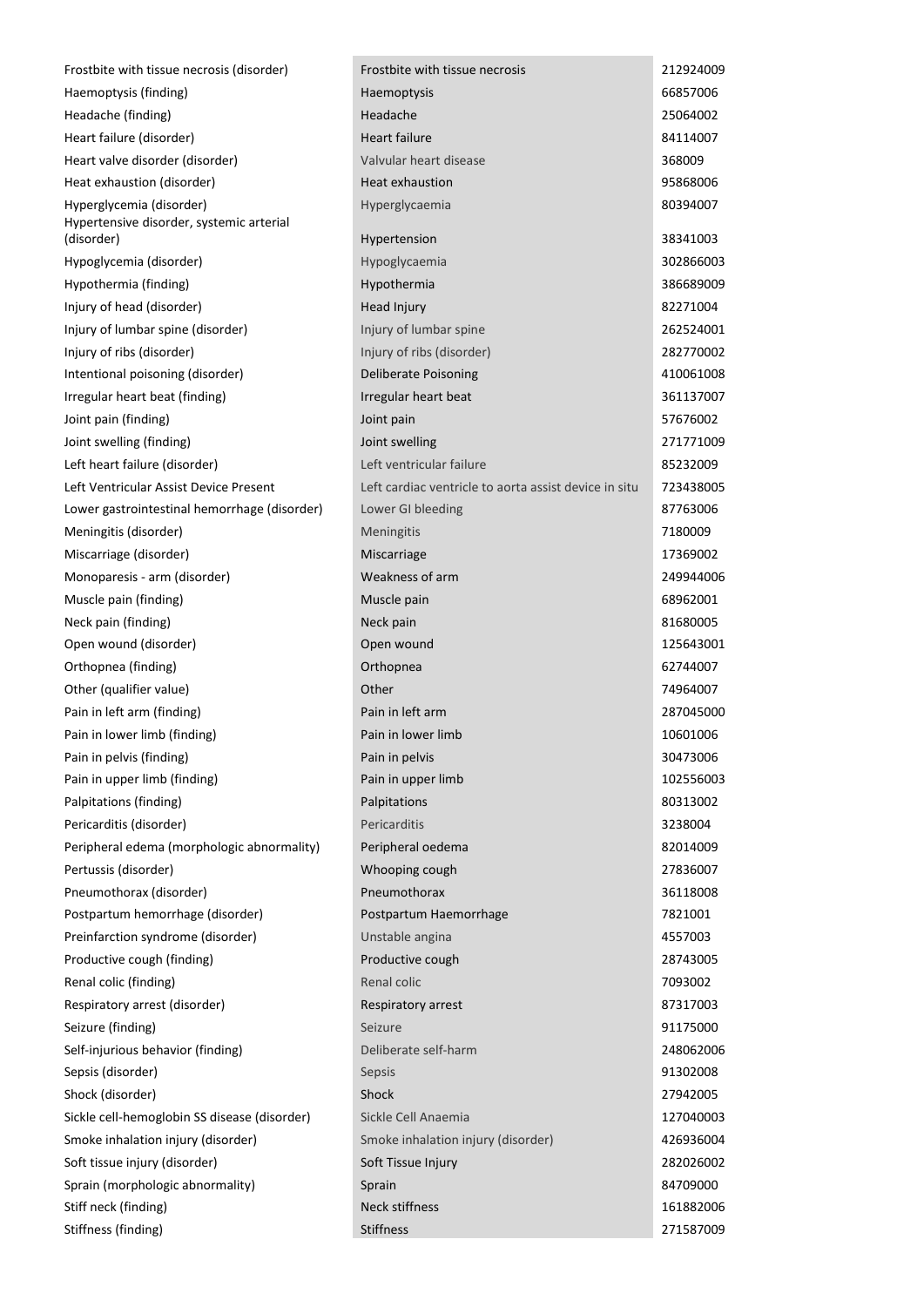| Frostbite with tissue necrosis (disorder)                            | Frostbite with tissue necrosis                        | 212924009 |
|----------------------------------------------------------------------|-------------------------------------------------------|-----------|
| Haemoptysis (finding)                                                | <b>Haemoptysis</b>                                    | 66857006  |
| Headache (finding)                                                   | Headache                                              | 25064002  |
| Heart failure (disorder)                                             | <b>Heart failure</b>                                  | 84114007  |
| Heart valve disorder (disorder)                                      | Valvular heart disease                                | 368009    |
| Heat exhaustion (disorder)                                           | Heat exhaustion                                       | 95868006  |
| Hyperglycemia (disorder)<br>Hypertensive disorder, systemic arterial | Hyperglycaemia                                        | 80394007  |
| (disorder)                                                           | Hypertension                                          | 38341003  |
| Hypoglycemia (disorder)                                              | Hypoglycaemia                                         | 302866003 |
| Hypothermia (finding)                                                | Hypothermia                                           | 386689009 |
| Injury of head (disorder)                                            | Head Injury                                           | 82271004  |
| Injury of lumbar spine (disorder)                                    | Injury of lumbar spine                                | 262524001 |
| Injury of ribs (disorder)                                            | Injury of ribs (disorder)                             | 282770002 |
| Intentional poisoning (disorder)                                     | Deliberate Poisoning                                  | 410061008 |
| Irregular heart beat (finding)                                       | Irregular heart beat                                  | 361137007 |
| Joint pain (finding)                                                 | Joint pain                                            | 57676002  |
| Joint swelling (finding)                                             | Joint swelling                                        | 271771009 |
| Left heart failure (disorder)                                        | Left ventricular failure                              | 85232009  |
| Left Ventricular Assist Device Present                               | Left cardiac ventricle to aorta assist device in situ | 723438005 |
| Lower gastrointestinal hemorrhage (disorder)                         | Lower GI bleeding                                     | 87763006  |
| Meningitis (disorder)                                                | Meningitis                                            | 7180009   |
| Miscarriage (disorder)                                               | Miscarriage                                           | 17369002  |
| Monoparesis - arm (disorder)                                         | Weakness of arm                                       | 249944006 |
| Muscle pain (finding)                                                | Muscle pain                                           | 68962001  |
| Neck pain (finding)                                                  | Neck pain                                             | 81680005  |
| Open wound (disorder)                                                | Open wound                                            | 125643001 |
| Orthopnea (finding)                                                  | Orthopnea                                             | 62744007  |
| Other (qualifier value)                                              | Other                                                 | 74964007  |
| Pain in left arm (finding)                                           | Pain in left arm                                      | 287045000 |
| Pain in lower limb (finding)                                         | Pain in lower limb                                    | 10601006  |
| Pain in pelvis (finding)                                             | Pain in pelvis                                        | 30473006  |
| Pain in upper limb (finding)                                         | Pain in upper limb                                    | 102556003 |
| Palpitations (finding)                                               | Palpitations                                          | 80313002  |
| Pericarditis (disorder)                                              | Pericarditis                                          | 3238004   |
| Peripheral edema (morphologic abnormality)                           | Peripheral oedema                                     | 82014009  |
| Pertussis (disorder)                                                 | Whooping cough                                        | 27836007  |
| Pneumothorax (disorder)                                              | Pneumothorax                                          | 36118008  |
| Postpartum hemorrhage (disorder)                                     | Postpartum Haemorrhage                                | 7821001   |
| Preinfarction syndrome (disorder)                                    | Unstable angina                                       | 4557003   |
| Productive cough (finding)                                           | Productive cough                                      | 28743005  |
| Renal colic (finding)                                                | Renal colic                                           | 7093002   |
| Respiratory arrest (disorder)                                        | Respiratory arrest                                    | 87317003  |
| Seizure (finding)                                                    | Seizure                                               | 91175000  |
| Self-injurious behavior (finding)                                    | Deliberate self-harm                                  | 248062006 |
| Sepsis (disorder)                                                    | Sepsis                                                | 91302008  |
| Shock (disorder)                                                     | Shock                                                 | 27942005  |
| Sickle cell-hemoglobin SS disease (disorder)                         | Sickle Cell Anaemia                                   | 127040003 |
| Smoke inhalation injury (disorder)                                   | Smoke inhalation injury (disorder)                    | 426936004 |
| Soft tissue injury (disorder)                                        | Soft Tissue Injury                                    | 282026002 |
| Sprain (morphologic abnormality)                                     | Sprain                                                | 84709000  |
| Stiff neck (finding)                                                 | <b>Neck stiffness</b>                                 | 161882006 |
| Stiffness (finding)                                                  | Stiffness                                             | 271587009 |